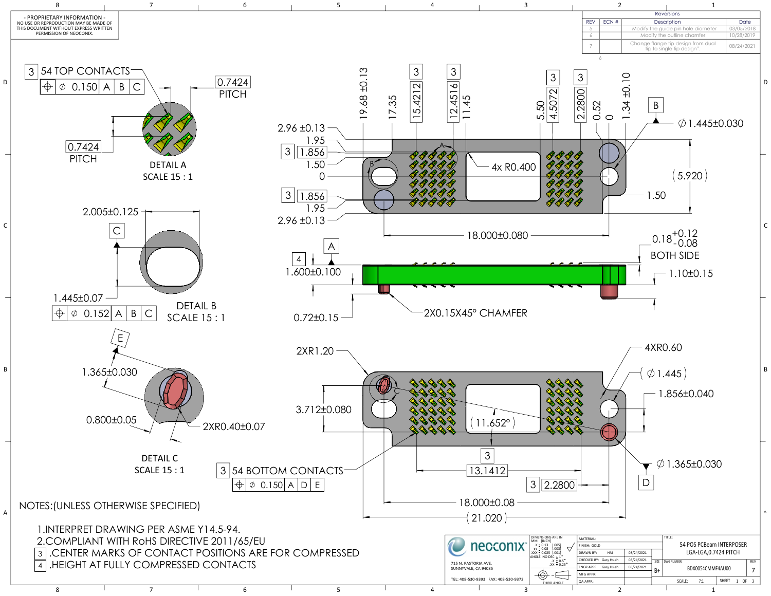|                                                                                                                                        |                      |          | necconix <sup>®</sup>  | <b>DIMENSIONS ARE IN</b><br>$.X \pm 0.13$ [.005] | MATERIAL<br>FINISH: GOLD                                            | 54 POS PCBeam INTERPOSER      |            |     |                      |  |  |
|----------------------------------------------------------------------------------------------------------------------------------------|----------------------|----------|------------------------|--------------------------------------------------|---------------------------------------------------------------------|-------------------------------|------------|-----|----------------------|--|--|
|                                                                                                                                        |                      |          |                        |                                                  | $XX \pm 0.08$<br>$\text{XXX} \pm 0.025$ [.001]<br>ANGLE: NO DEC ± 1 | <b>DRAWN BY:</b><br><b>HM</b> | 08/24/2021 |     | LGA-LGA,0.7424 PITCH |  |  |
|                                                                                                                                        | 715 N. PASTORIA AVE. | .X ± 0.5 | CHECKED BY: Gary Hsieh | 08/24/2021                                       | SIZE   DWG NUMBER                                                   |                               |            | REV |                      |  |  |
|                                                                                                                                        |                      |          |                        | SUNNYVALE, CA 94085                              | $XX \pm 0.25$                                                       | <b>ENGR APPR: Gary Hsieh</b>  | 08/24/2021 |     | BDX0054CMMF4AU00     |  |  |
| OMPLIANT WITH RoHS DIRECTIVE 2011/65/EU<br>CENTER MARKS OF CONTACT POSITIONS ARE FOR COMPRESSED<br>IEIGHT AT FULLY COMPRESSED CONTACTS |                      |          |                        |                                                  | MFG APPR:                                                           |                               |            |     |                      |  |  |
| TEL: 408-530-9393 FAX: 408-530-9372<br>QA APPR<br><b>THIRD ANGLE</b>                                                                   |                      |          |                        | SCALE:                                           | SHEET                                                               | OF 3 $\vert$                  |            |     |                      |  |  |
|                                                                                                                                        |                      |          |                        |                                                  |                                                                     |                               |            |     |                      |  |  |

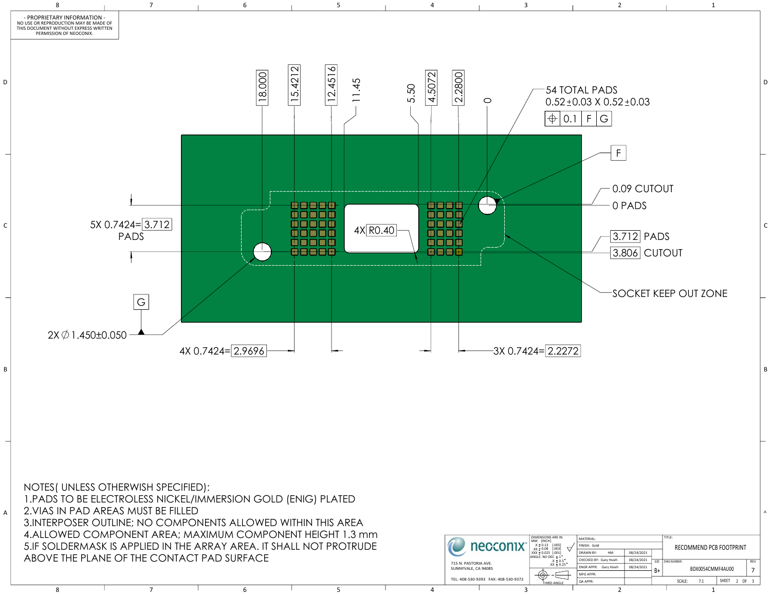

| $\mathcal{L}(\mathcal{L}(\mathcal{L}(\mathcal{L}(\mathcal{L}(\mathcal{L}(\mathcal{L}(\mathcal{L}(\mathcal{L}(\mathcal{L}(\mathcal{L}(\mathcal{L}(\mathcal{L}(\mathcal{L}(\mathcal{L}(\mathcal{L}(\mathcal{L}(\mathcal{L}(\mathcal{L}(\mathcal{L}(\mathcal{L}(\mathcal{L}(\mathcal{L}(\mathcal{L}(\mathcal{L}(\mathcal{L}(\mathcal{L}(\mathcal{L}(\mathcal{L}(\mathcal{L}(\mathcal{L}(\mathcal{L}(\mathcal{L}(\mathcal{L}(\mathcal{L}(\mathcal{L}(\mathcal{$ |                                        |                                                              |                    |                                                 |                        | <b>DIMENSIONS ARE IN</b>            | MATERIAL:                             |                |  |                         |        |
|-------------------------------------------------------------------------------------------------------------------------------------------------------------------------------------------------------------------------------------------------------------------------------------------------------------------------------------------------------------------------------------------------------------------------------------------------------------|----------------------------------------|--------------------------------------------------------------|--------------------|-------------------------------------------------|------------------------|-------------------------------------|---------------------------------------|----------------|--|-------------------------|--------|
|                                                                                                                                                                                                                                                                                                                                                                                                                                                             |                                        | LDERMASK IS APPLIED IN THE ARRAY AREA. IT SHALL NOT PROTRUDE |                    |                                                 |                        | necconix <sup>®</sup>               | $.X \pm 0.13$ [.005]<br>$XX \pm 0.08$ | I FINISH: Gold |  | RECOMMEND PCB FOOTPRINT |        |
|                                                                                                                                                                                                                                                                                                                                                                                                                                                             |                                        |                                                              | XXX ± 0.025 [.001] | <b>DRAWN BY:</b><br>HM                          | 08/24/2021             |                                     |                                       |                |  |                         |        |
|                                                                                                                                                                                                                                                                                                                                                                                                                                                             | ETHE PLANE OF THE CONTACT PAD SURFACE. |                                                              |                    | ANGLE: NO DEC ± 1<br>.X ± 0.5<br>$.XX \pm 0.25$ | CHECKED BY: Gary Hsieh | 08/24/2021                          | SIZE DWG NUMBER:                      | REV            |  |                         |        |
|                                                                                                                                                                                                                                                                                                                                                                                                                                                             |                                        | 715 N. PASTORIA AVE.<br>SUNNYVALE, CA 94085                  |                    | ENGR APPR: Gary Hsieh                           | 08/24/2021             | BDX0054CMMF4AU00                    |                                       |                |  |                         |        |
|                                                                                                                                                                                                                                                                                                                                                                                                                                                             |                                        |                                                              |                    |                                                 |                        |                                     |                                       | MFG APPR:      |  |                         |        |
|                                                                                                                                                                                                                                                                                                                                                                                                                                                             |                                        |                                                              |                    |                                                 |                        | TEL: 408-530-9393 FAX: 408-530-9372 | THIRD ANGLE                           | QA APPR:       |  | SHEET<br>SCALE:<br>7:1  | $-OF3$ |
|                                                                                                                                                                                                                                                                                                                                                                                                                                                             |                                        |                                                              |                    |                                                 |                        |                                     |                                       |                |  |                         |        |